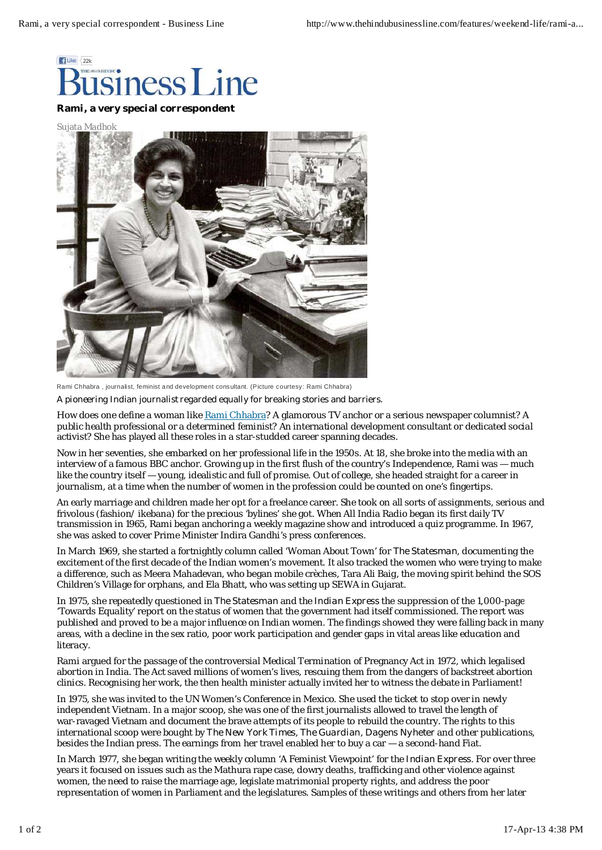

Sujata Madhok



Rami Chhabra , journalist, feminist and development consultant. (Picture courtesy: Rami Chhabra)

*A pioneering Indian journalist regarded equally for breaking stories and barriers.*

How does one define a woman like Rami Chhabra? A glamorous TV anchor or a serious newspaper columnist? A public health professional or a determined feminist? An international development consultant or dedicated social activist? She has played all these roles in a star-studded career spanning decades.

Now in her seventies, she embarked on her professional life in the 1950s. At 18, she broke into the media with an interview of a famous BBC anchor. Growing up in the first flush of the country's Independence, Rami was — much like the country itself — young, idealistic and full of promise. Out of college, she headed straight for a career in journalism, at a time when the number of women in the profession could be counted on one's fingertips.

An early marriage and children made her opt for a freelance career. She took on all sorts of assignments, serious and frivolous (fashion/ ikebana) for the precious 'bylines' she got. When All India Radio began its first daily TV transmission in 1965, Rami began anchoring a weekly magazine show and introduced a quiz programme. In 1967, she was asked to cover Prime Minister Indira Gandhi's press conferences.

In March 1969, she started a fortnightly column called 'Woman About Town' for The Statesman, documenting the excitement of the first decade of the Indian women's movement. It also tracked the women who were trying to make a difference, such as Meera Mahadevan, who began mobile crèches, Tara Ali Baig, the moving spirit behind the SOS Children's Village for orphans, and Ela Bhatt, who was setting up SEWA in Gujarat.

In 1975, she repeatedly questioned in The Statesman and the Indian Express the suppression of the 1,000-page 'Towards Equality' report on the status of women that the government had itself commissioned. The report was published and proved to be a major influence on Indian women. The findings showed they were falling back in many areas, with a decline in the sex ratio, poor work participation and gender gaps in vital areas like education and literacy.

Rami argued for the passage of the controversial Medical Termination of Pregnancy Act in 1972, which legalised abortion in India. The Act saved millions of women's lives, rescuing them from the dangers of backstreet abortion clinics. Recognising her work, the then health minister actually invited her to witness the debate in Parliament!

In 1975, she was invited to the UN Women's Conference in Mexico. She used the ticket to stop over in newly independent Vietnam. In a major scoop, she was one of the first journalists allowed to travel the length of war-ravaged Vietnam and document the brave attempts of its people to rebuild the country. The rights to this international scoop were bought by The New York Times, The Guardian, Dagens Nyheter and other publications, besides the Indian press. The earnings from her travel enabled her to buy a car — a second-hand Fiat.

In March 1977, she began writing the weekly column 'A Feminist Viewpoint' for the Indian Express. For over three years it focused on issues such as the Mathura rape case, dowry deaths, trafficking and other violence against women, the need to raise the marriage age, legislate matrimonial property rights, and address the poor representation of women in Parliament and the legislatures. Samples of these writings and others from her later